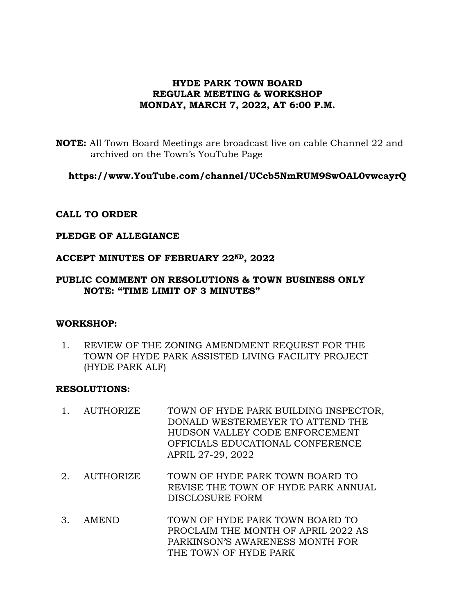# **HYDE PARK TOWN BOARD REGULAR MEETING & WORKSHOP MONDAY, MARCH 7, 2022, AT 6:00 P.M.**

**NOTE:** All Town Board Meetings are broadcast live on cable Channel 22 and archived on the Town's YouTube Page

**https://www.YouTube.com/channel/UCcb5NmRUM9SwOAL0vwcayrQ**

## **CALL TO ORDER**

## **PLEDGE OF ALLEGIANCE**

## **ACCEPT MINUTES OF FEBRUARY 22ND, 2022**

## **PUBLIC COMMENT ON RESOLUTIONS & TOWN BUSINESS ONLY NOTE: "TIME LIMIT OF 3 MINUTES"**

#### **WORKSHOP:**

1. REVIEW OF THE ZONING AMENDMENT REQUEST FOR THE TOWN OF HYDE PARK ASSISTED LIVING FACILITY PROJECT (HYDE PARK ALF)

## **RESOLUTIONS:**

- 1. AUTHORIZE TOWN OF HYDE PARK BUILDING INSPECTOR, DONALD WESTERMEYER TO ATTEND THE HUDSON VALLEY CODE ENFORCEMENT OFFICIALS EDUCATIONAL CONFERENCE APRIL 27-29, 2022
- 2. AUTHORIZE TOWN OF HYDE PARK TOWN BOARD TO REVISE THE TOWN OF HYDE PARK ANNUAL DISCLOSURE FORM
- 3. AMEND TOWN OF HYDE PARK TOWN BOARD TO PROCLAIM THE MONTH OF APRIL 2022 AS PARKINSON'S AWARENESS MONTH FOR THE TOWN OF HYDE PARK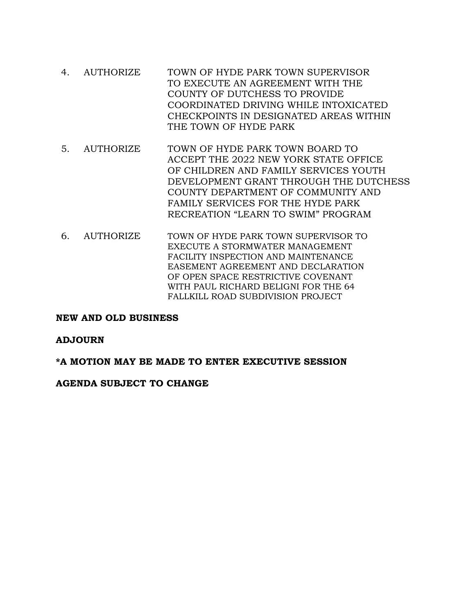- 4. AUTHORIZE TOWN OF HYDE PARK TOWN SUPERVISOR TO EXECUTE AN AGREEMENT WITH THE COUNTY OF DUTCHESS TO PROVIDE COORDINATED DRIVING WHILE INTOXICATED CHECKPOINTS IN DESIGNATED AREAS WITHIN THE TOWN OF HYDE PARK
- 5. AUTHORIZE TOWN OF HYDE PARK TOWN BOARD TO ACCEPT THE 2022 NEW YORK STATE OFFICE OF CHILDREN AND FAMILY SERVICES YOUTH DEVELOPMENT GRANT THROUGH THE DUTCHESS COUNTY DEPARTMENT OF COMMUNITY AND FAMILY SERVICES FOR THE HYDE PARK RECREATION "LEARN TO SWIM" PROGRAM
- 6. AUTHORIZE TOWN OF HYDE PARK TOWN SUPERVISOR TO EXECUTE A STORMWATER MANAGEMENT FACILITY INSPECTION AND MAINTENANCE EASEMENT AGREEMENT AND DECLARATION OF OPEN SPACE RESTRICTIVE COVENANT WITH PAUL RICHARD BELIGNI FOR THE 64 FALLKILL ROAD SUBDIVISION PROJECT

## **NEW AND OLD BUSINESS**

# **ADJOURN**

**\*A MOTION MAY BE MADE TO ENTER EXECUTIVE SESSION**

## **AGENDA SUBJECT TO CHANGE**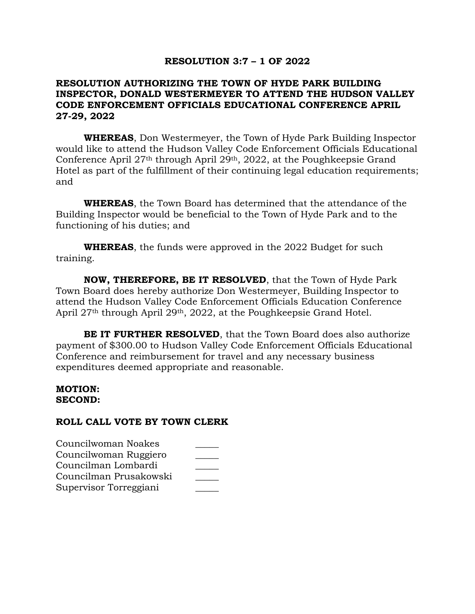## **RESOLUTION 3:7 – 1 OF 2022**

## **RESOLUTION AUTHORIZING THE TOWN OF HYDE PARK BUILDING INSPECTOR, DONALD WESTERMEYER TO ATTEND THE HUDSON VALLEY CODE ENFORCEMENT OFFICIALS EDUCATIONAL CONFERENCE APRIL 27-29, 2022**

**WHEREAS**, Don Westermeyer, the Town of Hyde Park Building Inspector would like to attend the Hudson Valley Code Enforcement Officials Educational Conference April 27th through April 29th, 2022, at the Poughkeepsie Grand Hotel as part of the fulfillment of their continuing legal education requirements; and

**WHEREAS**, the Town Board has determined that the attendance of the Building Inspector would be beneficial to the Town of Hyde Park and to the functioning of his duties; and

**WHEREAS**, the funds were approved in the 2022 Budget for such training.

**NOW, THEREFORE, BE IT RESOLVED**, that the Town of Hyde Park Town Board does hereby authorize Don Westermeyer, Building Inspector to attend the Hudson Valley Code Enforcement Officials Education Conference April 27th through April 29th, 2022, at the Poughkeepsie Grand Hotel.

**BE IT FURTHER RESOLVED**, that the Town Board does also authorize payment of \$300.00 to Hudson Valley Code Enforcement Officials Educational Conference and reimbursement for travel and any necessary business expenditures deemed appropriate and reasonable.

## **MOTION: SECOND:**

| Councilwoman Noakes    |  |
|------------------------|--|
| Councilwoman Ruggiero  |  |
| Councilman Lombardi    |  |
| Councilman Prusakowski |  |
| Supervisor Torreggiani |  |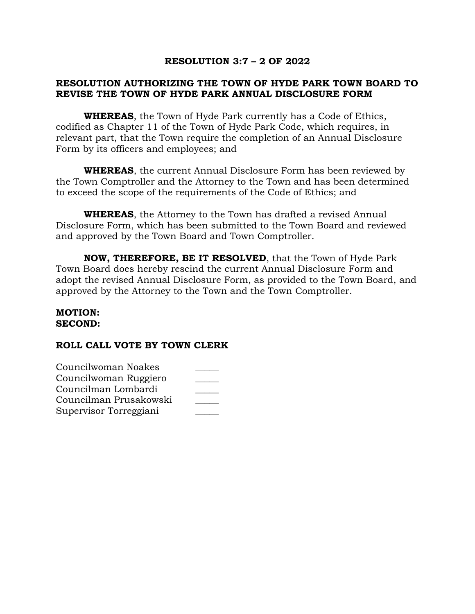## **RESOLUTION 3:7 – 2 OF 2022**

# **RESOLUTION AUTHORIZING THE TOWN OF HYDE PARK TOWN BOARD TO REVISE THE TOWN OF HYDE PARK ANNUAL DISCLOSURE FORM**

**WHEREAS**, the Town of Hyde Park currently has a Code of Ethics, codified as Chapter 11 of the Town of Hyde Park Code, which requires, in relevant part, that the Town require the completion of an Annual Disclosure Form by its officers and employees; and

**WHEREAS**, the current Annual Disclosure Form has been reviewed by the Town Comptroller and the Attorney to the Town and has been determined to exceed the scope of the requirements of the Code of Ethics; and

**WHEREAS**, the Attorney to the Town has drafted a revised Annual Disclosure Form, which has been submitted to the Town Board and reviewed and approved by the Town Board and Town Comptroller.

**NOW, THEREFORE, BE IT RESOLVED**, that the Town of Hyde Park Town Board does hereby rescind the current Annual Disclosure Form and adopt the revised Annual Disclosure Form, as provided to the Town Board, and approved by the Attorney to the Town and the Town Comptroller.

#### **MOTION: SECOND:**

| Councilwoman Noakes    |  |
|------------------------|--|
| Councilwoman Ruggiero  |  |
| Councilman Lombardi    |  |
| Councilman Prusakowski |  |
| Supervisor Torreggiani |  |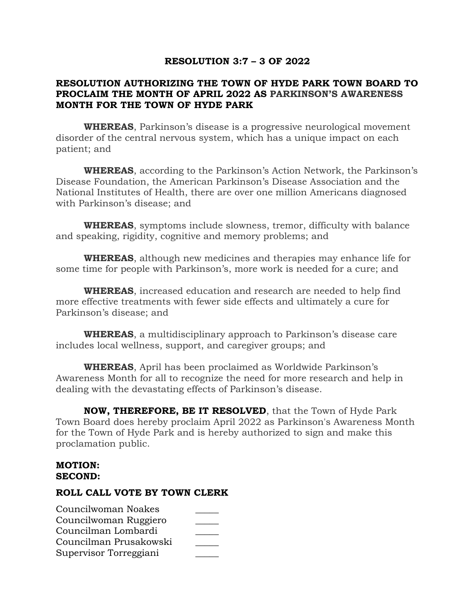## **RESOLUTION 3:7 – 3 OF 2022**

# **RESOLUTION AUTHORIZING THE TOWN OF HYDE PARK TOWN BOARD TO PROCLAIM THE MONTH OF APRIL 2022 AS PARKINSON'S AWARENESS MONTH FOR THE TOWN OF HYDE PARK**

**WHEREAS**, Parkinson's disease is a progressive neurological movement disorder of the central nervous system, which has a unique impact on each patient; and

**WHEREAS**, according to the Parkinson's Action Network, the Parkinson's Disease Foundation, the American Parkinson's Disease Association and the National Institutes of Health, there are over one million Americans diagnosed with Parkinson's disease; and

**WHEREAS**, symptoms include slowness, tremor, difficulty with balance and speaking, rigidity, cognitive and memory problems; and

**WHEREAS**, although new medicines and therapies may enhance life for some time for people with Parkinson's, more work is needed for a cure; and

**WHEREAS**, increased education and research are needed to help find more effective treatments with fewer side effects and ultimately a cure for Parkinson's disease; and

**WHEREAS**, a multidisciplinary approach to Parkinson's disease care includes local wellness, support, and caregiver groups; and

**WHEREAS**, April has been proclaimed as Worldwide Parkinson's Awareness Month for all to recognize the need for more research and help in dealing with the devastating effects of Parkinson's disease.

**NOW, THEREFORE, BE IT RESOLVED**, that the Town of Hyde Park Town Board does hereby proclaim April 2022 as Parkinson's Awareness Month for the Town of Hyde Park and is hereby authorized to sign and make this proclamation public.

## **MOTION: SECOND:**

| Councilwoman Noakes    |  |
|------------------------|--|
| Councilwoman Ruggiero  |  |
| Councilman Lombardi    |  |
| Councilman Prusakowski |  |
| Supervisor Torreggiani |  |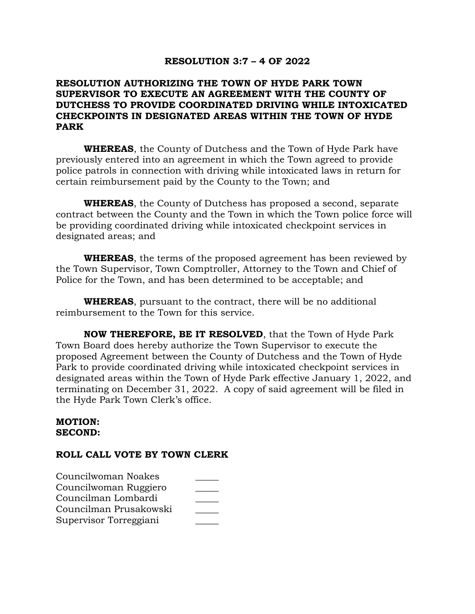#### **RESOLUTION 3:7 – 4 OF 2022**

## **RESOLUTION AUTHORIZING THE TOWN OF HYDE PARK TOWN SUPERVISOR TO EXECUTE AN AGREEMENT WITH THE COUNTY OF DUTCHESS TO PROVIDE COORDINATED DRIVING WHILE INTOXICATED CHECKPOINTS IN DESIGNATED AREAS WITHIN THE TOWN OF HYDE PARK**

**WHEREAS**, the County of Dutchess and the Town of Hyde Park have previously entered into an agreement in which the Town agreed to provide police patrols in connection with driving while intoxicated laws in return for certain reimbursement paid by the County to the Town; and

**WHEREAS**, the County of Dutchess has proposed a second, separate contract between the County and the Town in which the Town police force will be providing coordinated driving while intoxicated checkpoint services in designated areas; and

**WHEREAS**, the terms of the proposed agreement has been reviewed by the Town Supervisor, Town Comptroller, Attorney to the Town and Chief of Police for the Town, and has been determined to be acceptable; and

**WHEREAS**, pursuant to the contract, there will be no additional reimbursement to the Town for this service.

**NOW THEREFORE, BE IT RESOLVED**, that the Town of Hyde Park Town Board does hereby authorize the Town Supervisor to execute the proposed Agreement between the County of Dutchess and the Town of Hyde Park to provide coordinated driving while intoxicated checkpoint services in designated areas within the Town of Hyde Park effective January 1, 2022, and terminating on December 31, 2022. A copy of said agreement will be filed in the Hyde Park Town Clerk's office.

#### **MOTION: SECOND:**

| Councilwoman Noakes    |  |
|------------------------|--|
| Councilwoman Ruggiero  |  |
| Councilman Lombardi    |  |
| Councilman Prusakowski |  |
| Supervisor Torreggiani |  |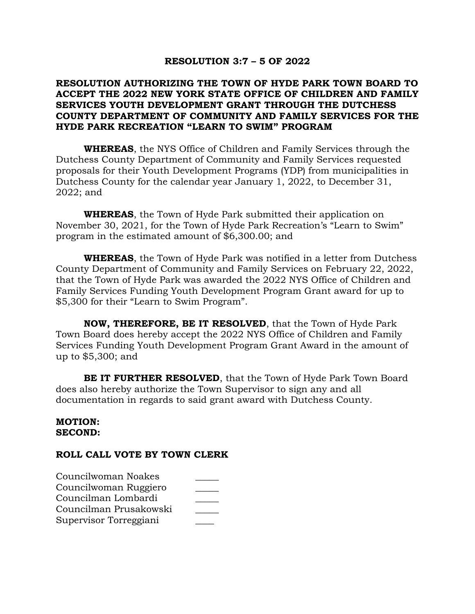#### **RESOLUTION 3:7 – 5 OF 2022**

## **RESOLUTION AUTHORIZING THE TOWN OF HYDE PARK TOWN BOARD TO ACCEPT THE 2022 NEW YORK STATE OFFICE OF CHILDREN AND FAMILY SERVICES YOUTH DEVELOPMENT GRANT THROUGH THE DUTCHESS COUNTY DEPARTMENT OF COMMUNITY AND FAMILY SERVICES FOR THE HYDE PARK RECREATION "LEARN TO SWIM" PROGRAM**

**WHEREAS**, the NYS Office of Children and Family Services through the Dutchess County Department of Community and Family Services requested proposals for their Youth Development Programs (YDP) from municipalities in Dutchess County for the calendar year January 1, 2022, to December 31, 2022; and

**WHEREAS**, the Town of Hyde Park submitted their application on November 30, 2021, for the Town of Hyde Park Recreation's "Learn to Swim" program in the estimated amount of \$6,300.00; and

**WHEREAS**, the Town of Hyde Park was notified in a letter from Dutchess County Department of Community and Family Services on February 22, 2022, that the Town of Hyde Park was awarded the 2022 NYS Office of Children and Family Services Funding Youth Development Program Grant award for up to \$5,300 for their "Learn to Swim Program".

**NOW, THEREFORE, BE IT RESOLVED**, that the Town of Hyde Park Town Board does hereby accept the 2022 NYS Office of Children and Family Services Funding Youth Development Program Grant Award in the amount of up to \$5,300; and

**BE IT FURTHER RESOLVED**, that the Town of Hyde Park Town Board does also hereby authorize the Town Supervisor to sign any and all documentation in regards to said grant award with Dutchess County.

#### **MOTION: SECOND:**

| Councilwoman Noakes    |  |
|------------------------|--|
| Councilwoman Ruggiero  |  |
| Councilman Lombardi    |  |
| Councilman Prusakowski |  |
| Supervisor Torreggiani |  |